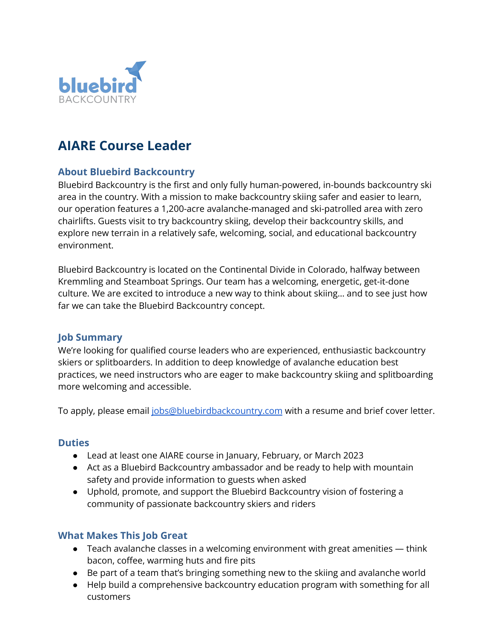

# **AIARE Course Leader**

## **About Bluebird Backcountry**

Bluebird Backcountry is the first and only fully human-powered, in-bounds backcountry ski area in the country. With a mission to make backcountry skiing safer and easier to learn, our operation features a 1,200-acre avalanche-managed and ski-patrolled area with zero chairlifts. Guests visit to try backcountry skiing, develop their backcountry skills, and explore new terrain in a relatively safe, welcoming, social, and educational backcountry environment.

Bluebird Backcountry is located on the Continental Divide in Colorado, halfway between Kremmling and Steamboat Springs. Our team has a welcoming, energetic, get-it-done culture. We are excited to introduce a new way to think about skiing… and to see just how far we can take the Bluebird Backcountry concept.

## **Job Summary**

We're looking for qualified course leaders who are experienced, enthusiastic backcountry skiers or splitboarders. In addition to deep knowledge of avalanche education best practices, we need instructors who are eager to make backcountry skiing and splitboarding more welcoming and accessible.

To apply, please email [jobs@bluebirdbackcountry.com](mailto:jobs@bluebirdbackcountry.com) with a resume and brief cover letter.

#### **Duties**

- Lead at least one AIARE course in January, February, or March 2023
- Act as a Bluebird Backcountry ambassador and be ready to help with mountain safety and provide information to guests when asked
- Uphold, promote, and support the Bluebird Backcountry vision of fostering a community of passionate backcountry skiers and riders

## **What Makes This Job Great**

- Teach avalanche classes in a welcoming environment with great amenities think bacon, coffee, warming huts and fire pits
- Be part of a team that's bringing something new to the skiing and avalanche world
- Help build a comprehensive backcountry education program with something for all customers